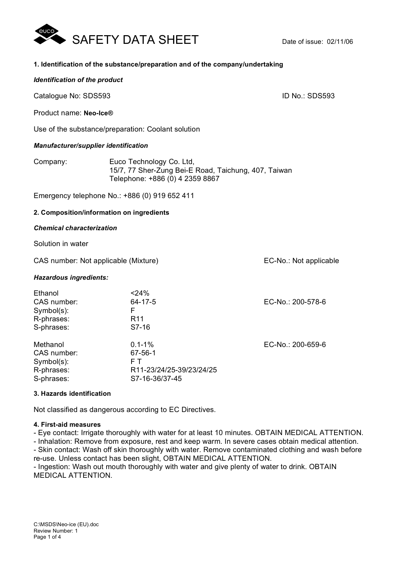

## **1. Identification of the substance/preparation and of the company/undertaking**

### *Identification of the product*

Catalogue No: SDS593 **ID No.: SDS593** 

Product name: **Neo-Ice®**

Use of the substance/preparation: Coolant solution

### *Manufacturer/supplier identification*

| Company: | Euco Technology Co. Ltd,                             |
|----------|------------------------------------------------------|
|          | 15/7, 77 Sher-Zung Bei-E Road, Taichung, 407, Taiwan |
|          | Telephone: +886 (0) 4 2359 8867                      |

Emergency telephone No.: +886 (0) 919 652 411

## **2. Composition/information on ingredients**

## *Chemical characterization*

Solution in water

CAS number: Not applicable (Mixture) CAS number: Not applicable

### *Hazardous ingredients:*

| Ethanol<br>CAS number:<br>Symbol(s):<br>R-phrases:<br>S-phrases:  | $<$ 24%<br>$64 - 17 - 5$<br>F<br>R <sub>11</sub><br>S7-16                  | EC-No.: 200-578-6 |
|-------------------------------------------------------------------|----------------------------------------------------------------------------|-------------------|
| Methanol<br>CAS number:<br>Symbol(s):<br>R-phrases:<br>S-phrases: | $0.1 - 1\%$<br>67-56-1<br>FТ<br>R11-23/24/25-39/23/24/25<br>S7-16-36/37-45 | EC-No.: 200-659-6 |

## **3. Hazards identification**

Not classified as dangerous according to EC Directives.

### **4. First-aid measures**

- Eye contact: Irrigate thoroughly with water for at least 10 minutes. OBTAIN MEDICAL ATTENTION.

- Inhalation: Remove from exposure, rest and keep warm. In severe cases obtain medical attention.

- Skin contact: Wash off skin thoroughly with water. Remove contaminated clothing and wash before re-use. Unless contact has been slight, OBTAIN MEDICAL ATTENTION.

- Ingestion: Wash out mouth thoroughly with water and give plenty of water to drink. OBTAIN MEDICAL ATTENTION.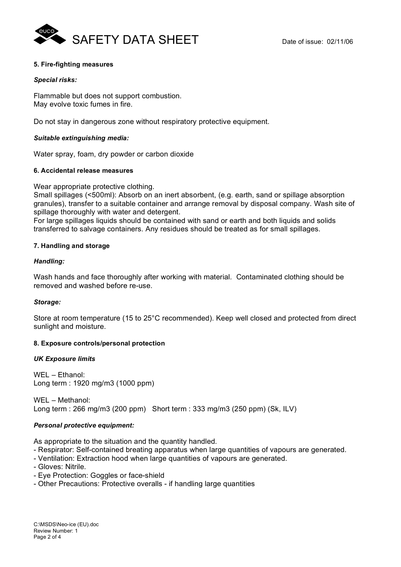

# **5. Fire-fighting measures**

## *Special risks:*

Flammable but does not support combustion. May evolve toxic fumes in fire.

Do not stay in dangerous zone without respiratory protective equipment.

# *Suitable extinguishing media:*

Water spray, foam, dry powder or carbon dioxide

## **6. Accidental release measures**

Wear appropriate protective clothing.

Small spillages (<500ml): Absorb on an inert absorbent, (e.g. earth, sand or spillage absorption granules), transfer to a suitable container and arrange removal by disposal company. Wash site of spillage thoroughly with water and detergent.

For large spillages liquids should be contained with sand or earth and both liquids and solids transferred to salvage containers. Any residues should be treated as for small spillages.

# **7. Handling and storage**

# *Handling:*

Wash hands and face thoroughly after working with material. Contaminated clothing should be removed and washed before re-use.

## *Storage:*

Store at room temperature (15 to 25°C recommended). Keep well closed and protected from direct sunlight and moisture.

## **8. Exposure controls/personal protection**

## *UK Exposure limits*

WEL – Ethanol: Long term : 1920 mg/m3 (1000 ppm)

WEL – Methanol: Long term : 266 mg/m3 (200 ppm) Short term : 333 mg/m3 (250 ppm) (Sk, ILV)

## *Personal protective equipment:*

As appropriate to the situation and the quantity handled.

- Respirator: Self-contained breating apparatus when large quantities of vapours are generated.
- Ventilation: Extraction hood when large quantities of vapours are generated.
- Gloves: Nitrile.
- Eye Protection: Goggles or face-shield
- Other Precautions: Protective overalls if handling large quantities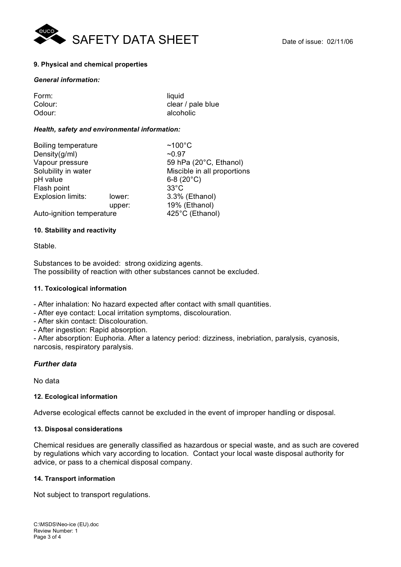

# **9. Physical and chemical properties**

### *General information:*

| Form:   | liquid            |
|---------|-------------------|
| Colour: | clear / pale blue |
| Odour:  | alcoholic         |

## *Health, safety and environmental information:*

| Boiling temperature       |        | $~100^{\circ}$ C            |
|---------------------------|--------|-----------------------------|
| Density(g/ml)             |        | ~10.97                      |
| Vapour pressure           |        | 59 hPa (20°C, Ethanol)      |
| Solubility in water       |        | Miscible in all proportions |
| pH value                  |        | 6-8 $(20^{\circ}C)$         |
| Flash point               |        | $33^{\circ}$ C              |
| <b>Explosion limits:</b>  | lower: | 3.3% (Ethanol)              |
|                           | upper: | 19% (Ethanol)               |
| Auto-ignition temperature |        | 425°C (Ethanol)             |

## **10. Stability and reactivity**

## Stable.

Substances to be avoided: strong oxidizing agents. The possibility of reaction with other substances cannot be excluded.

## **11. Toxicological information**

- After inhalation: No hazard expected after contact with small quantities.

- After eye contact: Local irritation symptoms, discolouration.
- After skin contact: Discolouration.
- After ingestion: Rapid absorption.

- After absorption: Euphoria. After a latency period: dizziness, inebriation, paralysis, cyanosis, narcosis, respiratory paralysis.

## *Further data*

No data

## **12. Ecological information**

Adverse ecological effects cannot be excluded in the event of improper handling or disposal.

## **13. Disposal considerations**

Chemical residues are generally classified as hazardous or special waste, and as such are covered by regulations which vary according to location. Contact your local waste disposal authority for advice, or pass to a chemical disposal company.

## **14. Transport information**

Not subject to transport regulations.